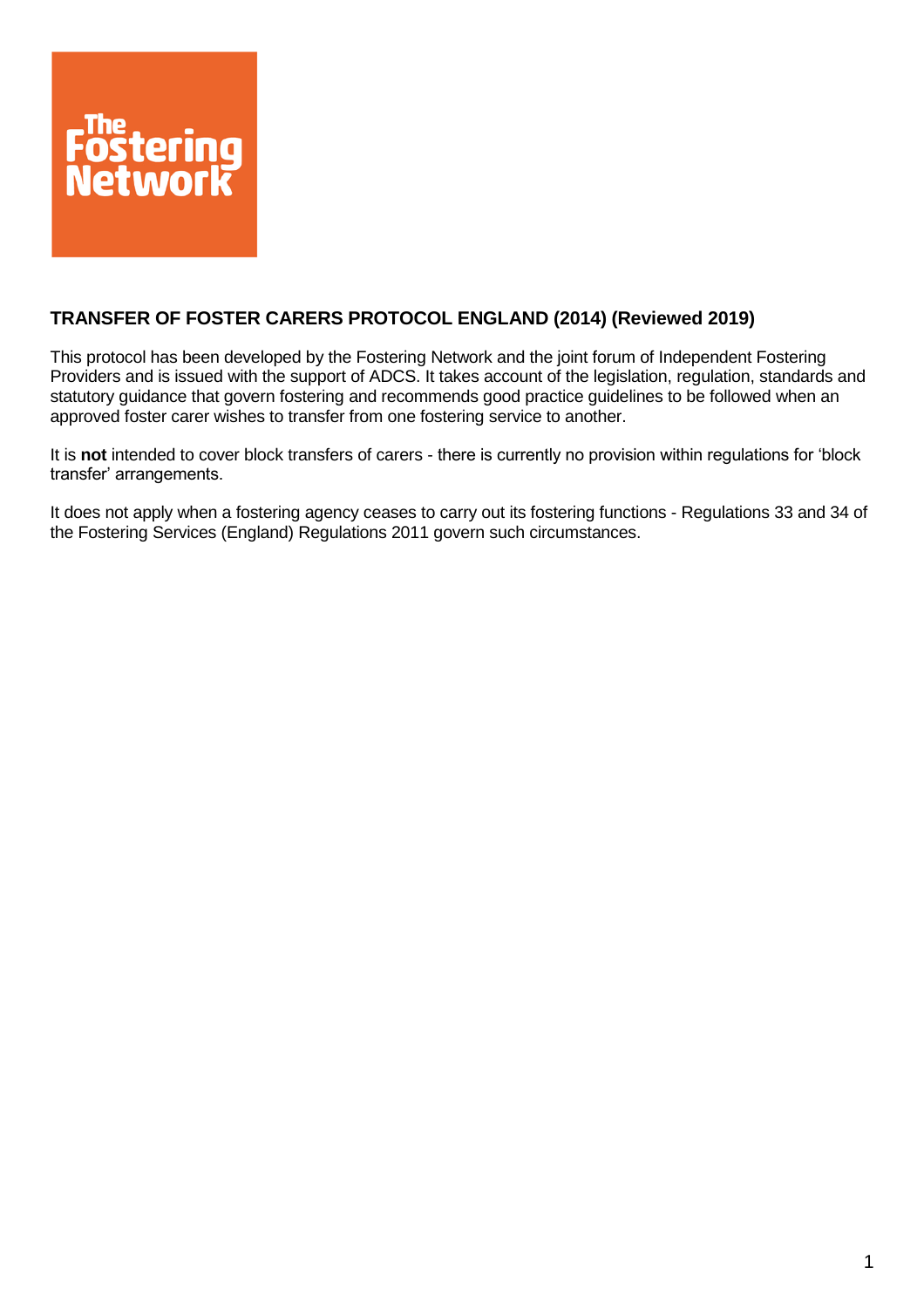

# **TRANSFER OF FOSTER CARERS PROTOCOL ENGLAND (2014) (Reviewed 2019)**

This protocol has been developed by the Fostering Network and the joint forum of Independent Fostering Providers and is issued with the support of ADCS. It takes account of the legislation, regulation, standards and statutory guidance that govern fostering and recommends good practice guidelines to be followed when an approved foster carer wishes to transfer from one fostering service to another.

It is **not** intended to cover block transfers of carers - there is currently no provision within regulations for 'block transfer' arrangements.

It does not apply when a fostering agency ceases to carry out its fostering functions - Regulations 33 and 34 of the Fostering Services (England) Regulations 2011 govern such circumstances.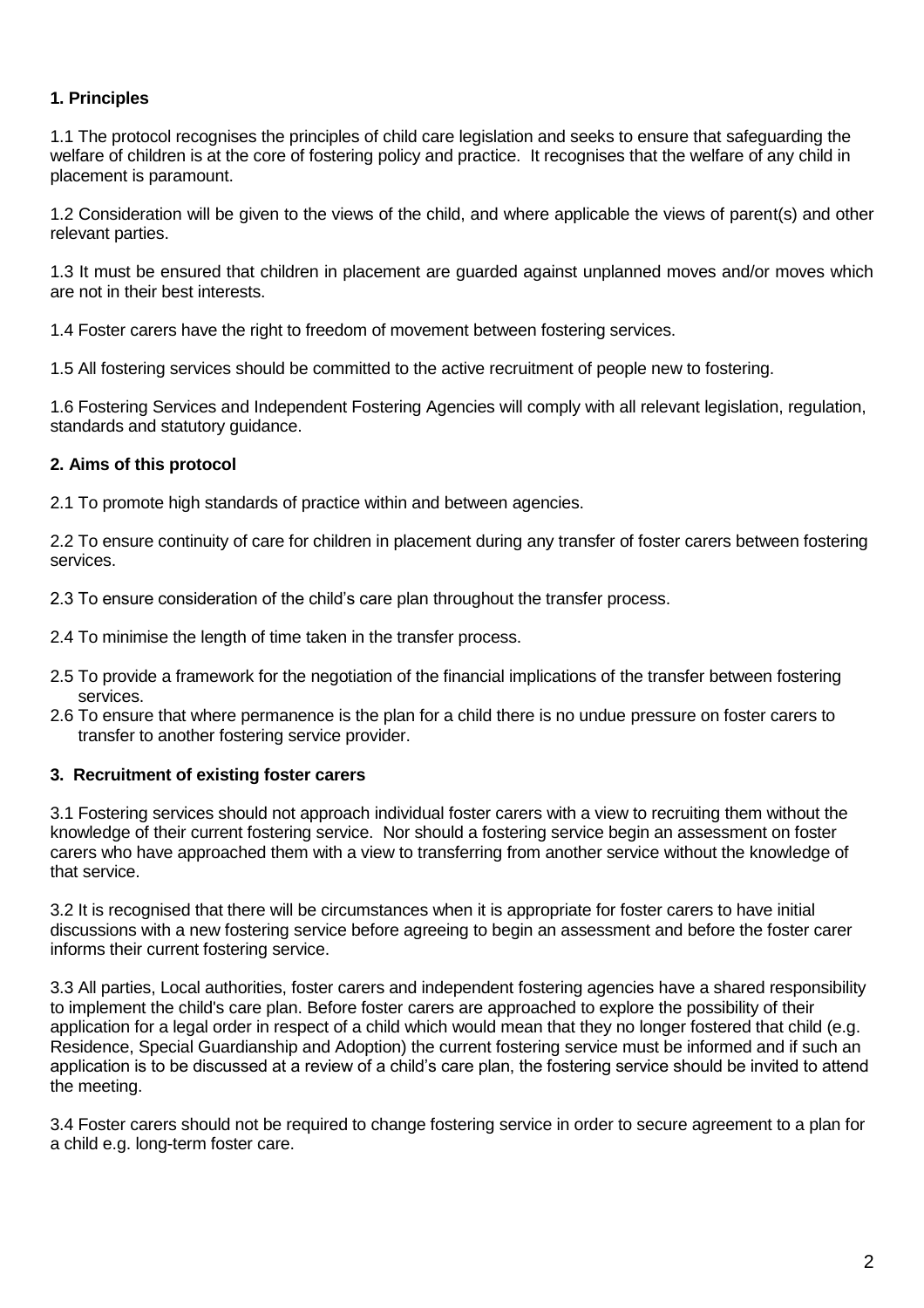## **1. Principles**

1.1 The protocol recognises the principles of child care legislation and seeks to ensure that safeguarding the welfare of children is at the core of fostering policy and practice. It recognises that the welfare of any child in placement is paramount.

1.2 Consideration will be given to the views of the child, and where applicable the views of parent(s) and other relevant parties.

1.3 It must be ensured that children in placement are guarded against unplanned moves and/or moves which are not in their best interests.

1.4 Foster carers have the right to freedom of movement between fostering services.

1.5 All fostering services should be committed to the active recruitment of people new to fostering.

1.6 Fostering Services and Independent Fostering Agencies will comply with all relevant legislation, regulation, standards and statutory guidance.

### **2. Aims of this protocol**

2.1 To promote high standards of practice within and between agencies.

2.2 To ensure continuity of care for children in placement during any transfer of foster carers between fostering services.

2.3 To ensure consideration of the child's care plan throughout the transfer process.

2.4 To minimise the length of time taken in the transfer process.

- 2.5 To provide a framework for the negotiation of the financial implications of the transfer between fostering services.
- 2.6 To ensure that where permanence is the plan for a child there is no undue pressure on foster carers to transfer to another fostering service provider.

### **3. Recruitment of existing foster carers**

3.1 Fostering services should not approach individual foster carers with a view to recruiting them without the knowledge of their current fostering service. Nor should a fostering service begin an assessment on foster carers who have approached them with a view to transferring from another service without the knowledge of that service.

3.2 It is recognised that there will be circumstances when it is appropriate for foster carers to have initial discussions with a new fostering service before agreeing to begin an assessment and before the foster carer informs their current fostering service.

3.3 All parties, Local authorities, foster carers and independent fostering agencies have a shared responsibility to implement the child's care plan. Before foster carers are approached to explore the possibility of their application for a legal order in respect of a child which would mean that they no longer fostered that child (e.g. Residence, Special Guardianship and Adoption) the current fostering service must be informed and if such an application is to be discussed at a review of a child's care plan, the fostering service should be invited to attend the meeting.

3.4 Foster carers should not be required to change fostering service in order to secure agreement to a plan for a child e.g. long-term foster care.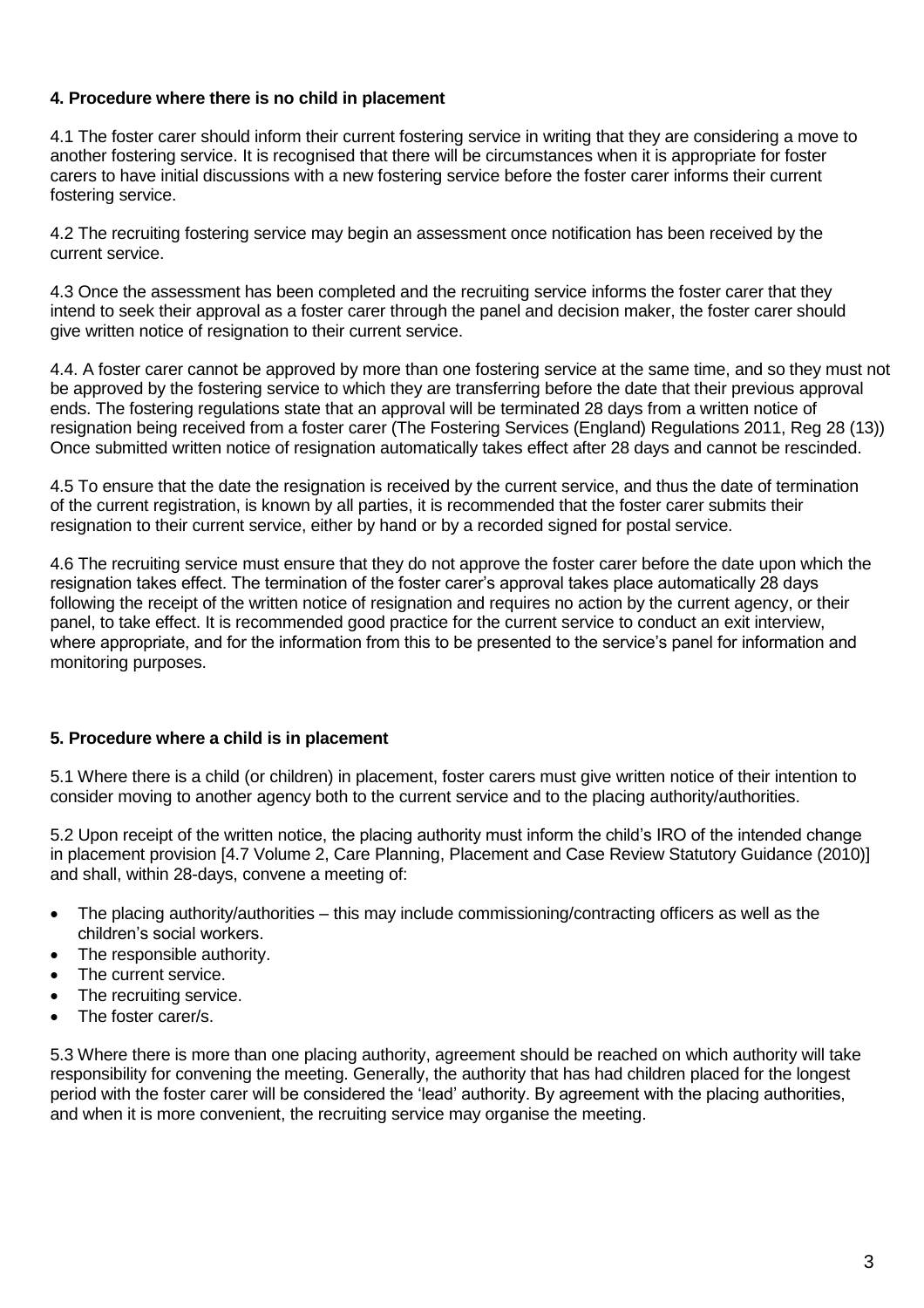## **4. Procedure where there is no child in placement**

4.1 The foster carer should inform their current fostering service in writing that they are considering a move to another fostering service. It is recognised that there will be circumstances when it is appropriate for foster carers to have initial discussions with a new fostering service before the foster carer informs their current fostering service.

4.2 The recruiting fostering service may begin an assessment once notification has been received by the current service.

4.3 Once the assessment has been completed and the recruiting service informs the foster carer that they intend to seek their approval as a foster carer through the panel and decision maker, the foster carer should give written notice of resignation to their current service.

4.4. A foster carer cannot be approved by more than one fostering service at the same time, and so they must not be approved by the fostering service to which they are transferring before the date that their previous approval ends. The fostering regulations state that an approval will be terminated 28 days from a written notice of resignation being received from a foster carer (The Fostering Services (England) Regulations 2011, Reg 28 (13)) Once submitted written notice of resignation automatically takes effect after 28 days and cannot be rescinded.

4.5 To ensure that the date the resignation is received by the current service, and thus the date of termination of the current registration, is known by all parties, it is recommended that the foster carer submits their resignation to their current service, either by hand or by a recorded signed for postal service.

4.6 The recruiting service must ensure that they do not approve the foster carer before the date upon which the resignation takes effect. The termination of the foster carer's approval takes place automatically 28 days following the receipt of the written notice of resignation and requires no action by the current agency, or their panel, to take effect. It is recommended good practice for the current service to conduct an exit interview, where appropriate, and for the information from this to be presented to the service's panel for information and monitoring purposes.

### **5. Procedure where a child is in placement**

5.1 Where there is a child (or children) in placement, foster carers must give written notice of their intention to consider moving to another agency both to the current service and to the placing authority/authorities.

5.2 Upon receipt of the written notice, the placing authority must inform the child's IRO of the intended change in placement provision [4.7 Volume 2, Care Planning, Placement and Case Review Statutory Guidance (2010)] and shall, within 28-days, convene a meeting of:

- The placing authority/authorities this may include commissioning/contracting officers as well as the children's social workers.
- The responsible authority.
- The current service.
- The recruiting service.
- The foster carer/s.

5.3 Where there is more than one placing authority, agreement should be reached on which authority will take responsibility for convening the meeting. Generally, the authority that has had children placed for the longest period with the foster carer will be considered the 'lead' authority. By agreement with the placing authorities, and when it is more convenient, the recruiting service may organise the meeting.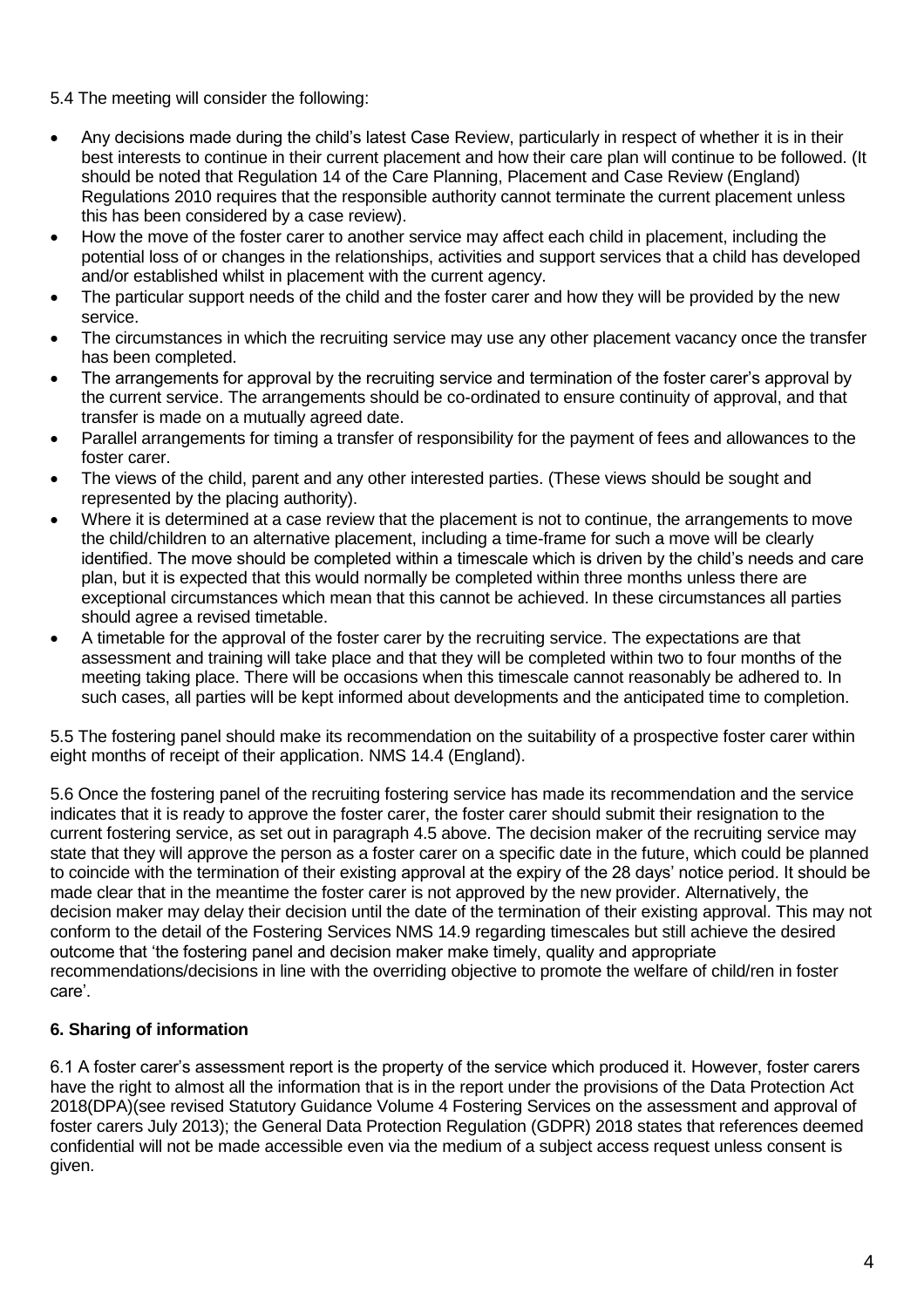5.4 The meeting will consider the following:

- Any decisions made during the child's latest Case Review, particularly in respect of whether it is in their best interests to continue in their current placement and how their care plan will continue to be followed. (It should be noted that Regulation 14 of the Care Planning, Placement and Case Review (England) Regulations 2010 requires that the responsible authority cannot terminate the current placement unless this has been considered by a case review).
- How the move of the foster carer to another service may affect each child in placement, including the potential loss of or changes in the relationships, activities and support services that a child has developed and/or established whilst in placement with the current agency.
- The particular support needs of the child and the foster carer and how they will be provided by the new service.
- The circumstances in which the recruiting service may use any other placement vacancy once the transfer has been completed.
- The arrangements for approval by the recruiting service and termination of the foster carer's approval by the current service. The arrangements should be co-ordinated to ensure continuity of approval, and that transfer is made on a mutually agreed date.
- Parallel arrangements for timing a transfer of responsibility for the payment of fees and allowances to the foster carer.
- The views of the child, parent and any other interested parties. (These views should be sought and represented by the placing authority).
- Where it is determined at a case review that the placement is not to continue, the arrangements to move the child/children to an alternative placement, including a time-frame for such a move will be clearly identified. The move should be completed within a timescale which is driven by the child's needs and care plan, but it is expected that this would normally be completed within three months unless there are exceptional circumstances which mean that this cannot be achieved. In these circumstances all parties should agree a revised timetable.
- A timetable for the approval of the foster carer by the recruiting service. The expectations are that assessment and training will take place and that they will be completed within two to four months of the meeting taking place. There will be occasions when this timescale cannot reasonably be adhered to. In such cases, all parties will be kept informed about developments and the anticipated time to completion.

5.5 The fostering panel should make its recommendation on the suitability of a prospective foster carer within eight months of receipt of their application. NMS 14.4 (England).

5.6 Once the fostering panel of the recruiting fostering service has made its recommendation and the service indicates that it is ready to approve the foster carer, the foster carer should submit their resignation to the current fostering service, as set out in paragraph 4.5 above. The decision maker of the recruiting service may state that they will approve the person as a foster carer on a specific date in the future, which could be planned to coincide with the termination of their existing approval at the expiry of the 28 days' notice period. It should be made clear that in the meantime the foster carer is not approved by the new provider. Alternatively, the decision maker may delay their decision until the date of the termination of their existing approval. This may not conform to the detail of the Fostering Services NMS 14.9 regarding timescales but still achieve the desired outcome that 'the fostering panel and decision maker make timely, quality and appropriate recommendations/decisions in line with the overriding objective to promote the welfare of child/ren in foster care'.

# **6. Sharing of information**

6.1 A foster carer's assessment report is the property of the service which produced it. However, foster carers have the right to almost all the information that is in the report under the provisions of the Data Protection Act 2018(DPA)(see revised Statutory Guidance Volume 4 Fostering Services on the assessment and approval of foster carers July 2013); the General Data Protection Regulation (GDPR) 2018 states that references deemed confidential will not be made accessible even via the medium of a subject access request unless consent is given.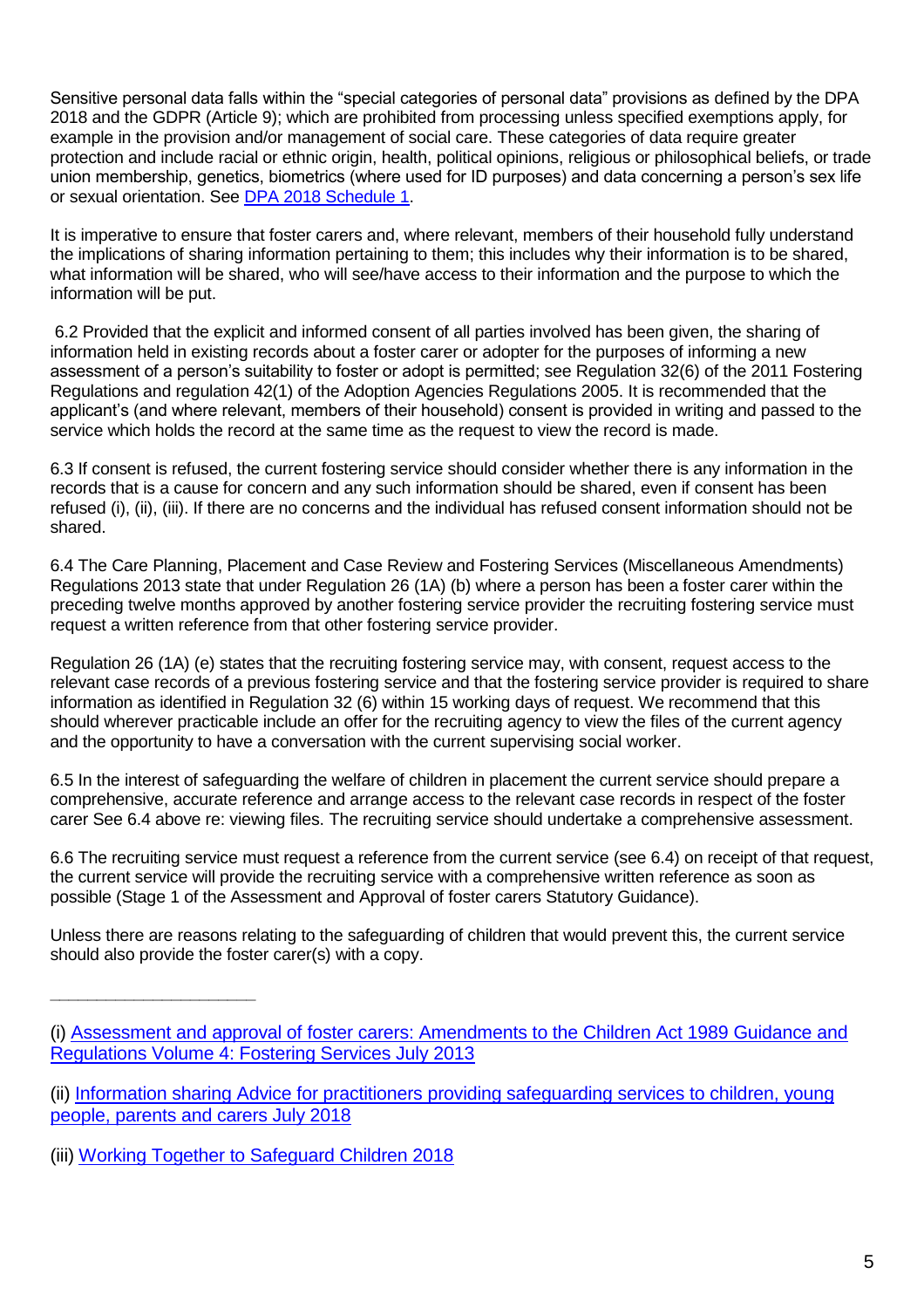Sensitive personal data falls within the "special categories of personal data" provisions as defined by the DPA 2018 and the GDPR (Article 9); which are prohibited from processing unless specified exemptions apply, for example in the provision and/or management of social care. These categories of data require greater protection and include racial or ethnic origin, health, political opinions, religious or philosophical beliefs, or trade union membership, genetics, biometrics (where used for ID purposes) and data concerning a person's sex life or sexual orientation. See [DPA 2018 Schedule 1.](http://www.legislation.gov.uk/ukpga/2018/12/schedule/1/enacted)

It is imperative to ensure that foster carers and, where relevant, members of their household fully understand the implications of sharing information pertaining to them; this includes why their information is to be shared, what information will be shared, who will see/have access to their information and the purpose to which the information will be put.

6.2 Provided that the explicit and informed consent of all parties involved has been given, the sharing of information held in existing records about a foster carer or adopter for the purposes of informing a new assessment of a person's suitability to foster or adopt is permitted; see Regulation 32(6) of the 2011 Fostering Regulations and regulation 42(1) of the Adoption Agencies Regulations 2005. It is recommended that the applicant's (and where relevant, members of their household) consent is provided in writing and passed to the service which holds the record at the same time as the request to view the record is made.

6.3 If consent is refused, the current fostering service should consider whether there is any information in the records that is a cause for concern and any such information should be shared, even if consent has been refused (i), (ii), (iii). If there are no concerns and the individual has refused consent information should not be shared.

6.4 The Care Planning, Placement and Case Review and Fostering Services (Miscellaneous Amendments) Regulations 2013 state that under Regulation 26 (1A) (b) where a person has been a foster carer within the preceding twelve months approved by another fostering service provider the recruiting fostering service must request a written reference from that other fostering service provider.

Regulation 26 (1A) (e) states that the recruiting fostering service may, with consent, request access to the relevant case records of a previous fostering service and that the fostering service provider is required to share information as identified in Regulation 32 (6) within 15 working days of request. We recommend that this should wherever practicable include an offer for the recruiting agency to view the files of the current agency and the opportunity to have a conversation with the current supervising social worker.

6.5 In the interest of safeguarding the welfare of children in placement the current service should prepare a comprehensive, accurate reference and arrange access to the relevant case records in respect of the foster carer See 6.4 above re: viewing files. The recruiting service should undertake a comprehensive assessment.

6.6 The recruiting service must request a reference from the current service (see 6.4) on receipt of that request, the current service will provide the recruiting service with a comprehensive written reference as soon as possible (Stage 1 of the Assessment and Approval of foster carers Statutory Guidance).

Unless there are reasons relating to the safeguarding of children that would prevent this, the current service should also provide the foster carer(s) with a copy.

**\_\_\_\_\_\_\_\_\_\_\_\_\_\_\_\_\_\_\_\_\_\_**

<sup>(</sup>i) [Assessment and approval of foster carers: Amendments to the Children Act 1989 Guidance and](https://assets.publishing.service.gov.uk/government/uploads/system/uploads/attachment_data/file/275764/20130522statutory_guidanceassessment_and_approval_of_foster_carers_final.pdf)  [Regulations Volume 4: Fostering Services July 2013](https://assets.publishing.service.gov.uk/government/uploads/system/uploads/attachment_data/file/275764/20130522statutory_guidanceassessment_and_approval_of_foster_carers_final.pdf)

<sup>(</sup>ii) [Information sharing Advice for practitioners providing safeguarding services to children, young](https://assets.publishing.service.gov.uk/government/uploads/system/uploads/attachment_data/file/721581/Information_sharing_advice_practitioners_safeguarding_services.pdf)  [people, parents and carers July 2018](https://assets.publishing.service.gov.uk/government/uploads/system/uploads/attachment_data/file/721581/Information_sharing_advice_practitioners_safeguarding_services.pdf)

<sup>(</sup>iii) [Working Together to Safeguard Children 2018](https://assets.publishing.service.gov.uk/government/uploads/system/uploads/attachment_data/file/779401/Working_Together_to_Safeguard-Children.pdf)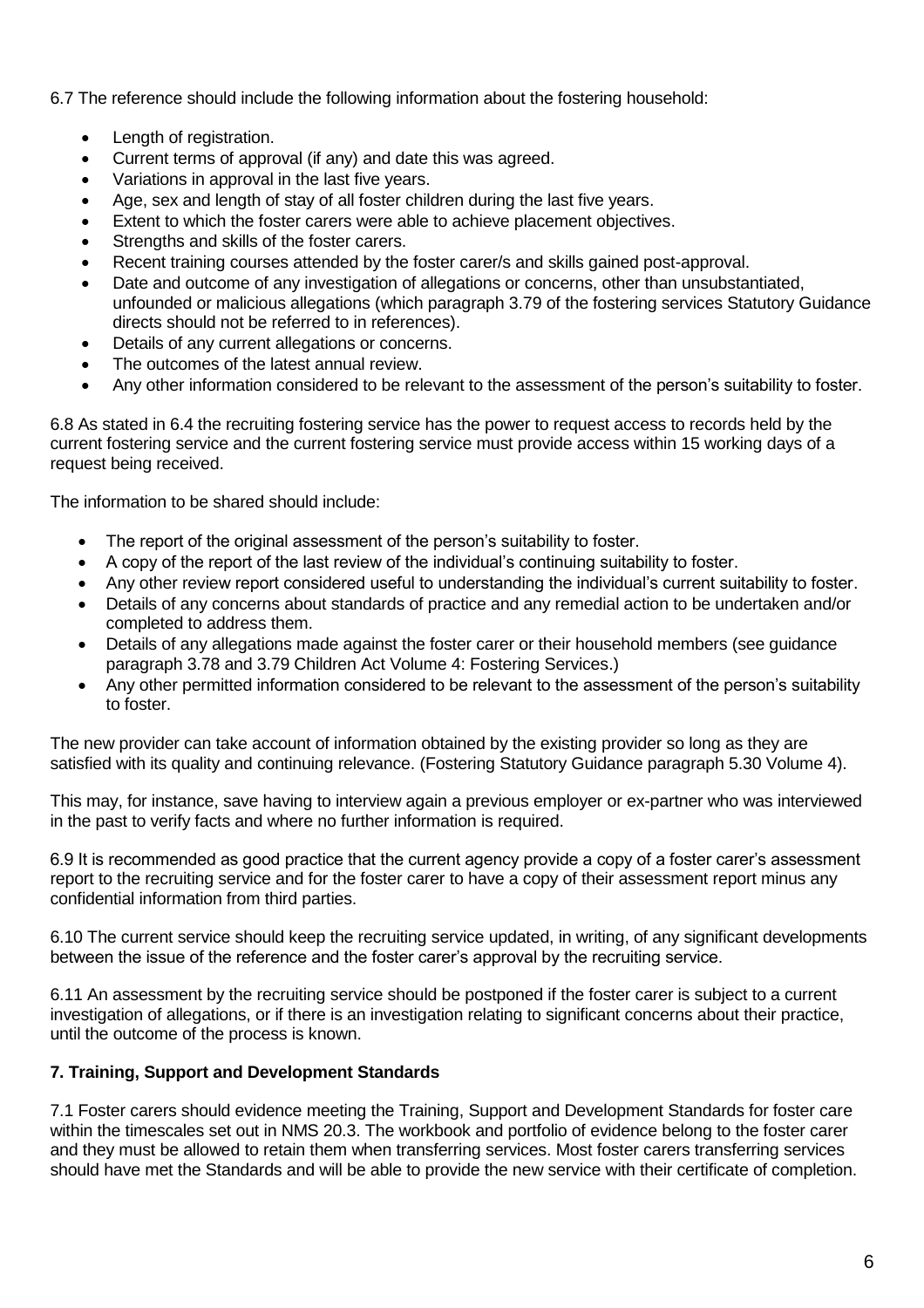6.7 The reference should include the following information about the fostering household:

- Length of registration.
- Current terms of approval (if any) and date this was agreed.
- Variations in approval in the last five years.
- Age, sex and length of stay of all foster children during the last five years.
- Extent to which the foster carers were able to achieve placement objectives.
- Strengths and skills of the foster carers.
- Recent training courses attended by the foster carer/s and skills gained post-approval.
- Date and outcome of any investigation of allegations or concerns, other than unsubstantiated, unfounded or malicious allegations (which paragraph 3.79 of the fostering services Statutory Guidance directs should not be referred to in references).
- Details of any current allegations or concerns.
- The outcomes of the latest annual review.
- Any other information considered to be relevant to the assessment of the person's suitability to foster.

6.8 As stated in 6.4 the recruiting fostering service has the power to request access to records held by the current fostering service and the current fostering service must provide access within 15 working days of a request being received.

The information to be shared should include:

- The report of the original assessment of the person's suitability to foster.
- A copy of the report of the last review of the individual's continuing suitability to foster.
- Any other review report considered useful to understanding the individual's current suitability to foster.
- Details of any concerns about standards of practice and any remedial action to be undertaken and/or completed to address them.
- Details of any allegations made against the foster carer or their household members (see guidance paragraph 3.78 and 3.79 Children Act Volume 4: Fostering Services.)
- Any other permitted information considered to be relevant to the assessment of the person's suitability to foster.

The new provider can take account of information obtained by the existing provider so long as they are satisfied with its quality and continuing relevance. (Fostering Statutory Guidance paragraph 5.30 Volume 4).

This may, for instance, save having to interview again a previous employer or ex-partner who was interviewed in the past to verify facts and where no further information is required.

6.9 It is recommended as good practice that the current agency provide a copy of a foster carer's assessment report to the recruiting service and for the foster carer to have a copy of their assessment report minus any confidential information from third parties.

6.10 The current service should keep the recruiting service updated, in writing, of any significant developments between the issue of the reference and the foster carer's approval by the recruiting service.

6.11 An assessment by the recruiting service should be postponed if the foster carer is subject to a current investigation of allegations, or if there is an investigation relating to significant concerns about their practice, until the outcome of the process is known.

## **7. Training, Support and Development Standards**

7.1 Foster carers should evidence meeting the Training, Support and Development Standards for foster care within the timescales set out in NMS 20.3. The workbook and portfolio of evidence belong to the foster carer and they must be allowed to retain them when transferring services. Most foster carers transferring services should have met the Standards and will be able to provide the new service with their certificate of completion.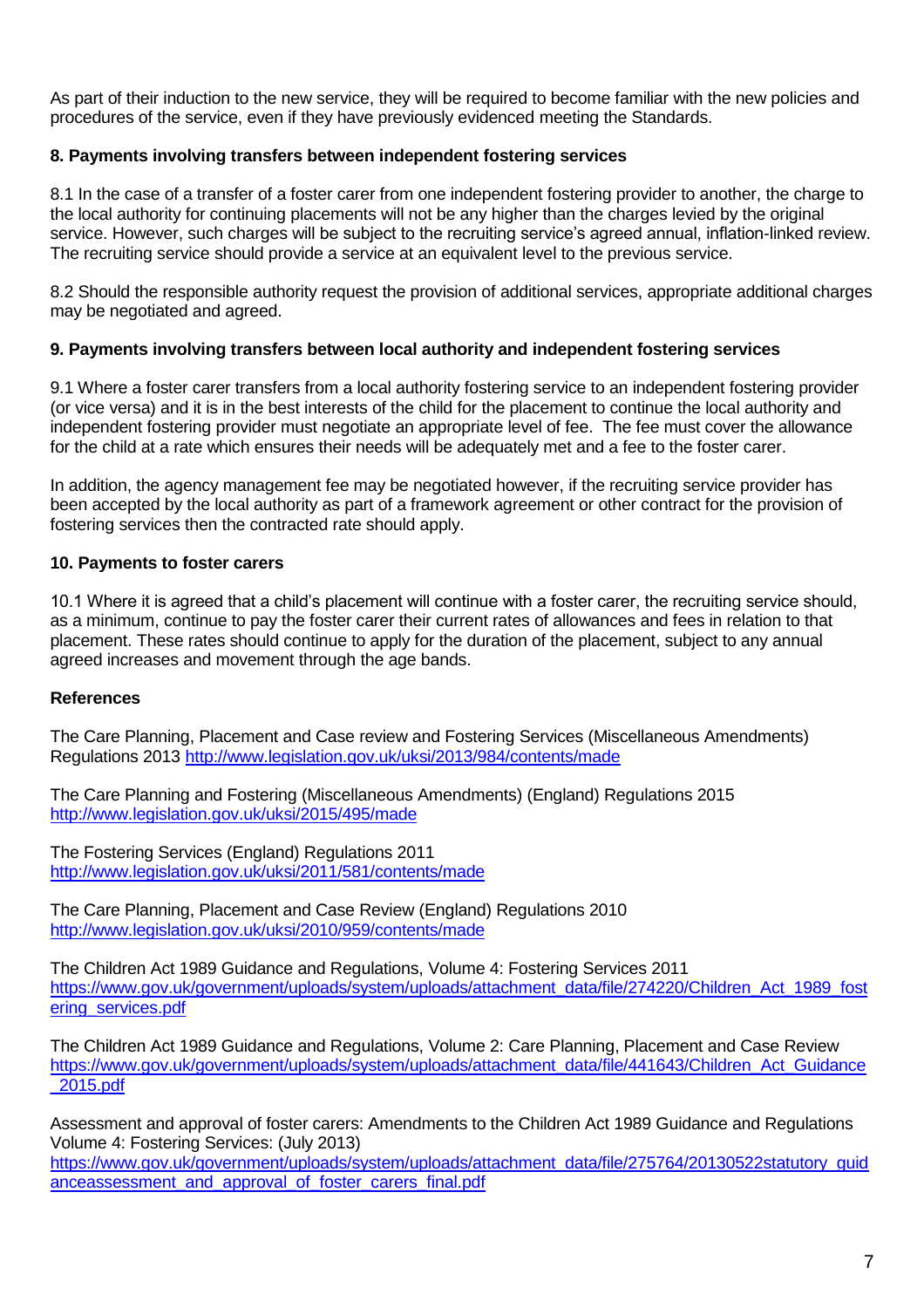As part of their induction to the new service, they will be required to become familiar with the new policies and procedures of the service, even if they have previously evidenced meeting the Standards.

## **8. Payments involving transfers between independent fostering services**

8.1 In the case of a transfer of a foster carer from one independent fostering provider to another, the charge to the local authority for continuing placements will not be any higher than the charges levied by the original service. However, such charges will be subject to the recruiting service's agreed annual, inflation-linked review. The recruiting service should provide a service at an equivalent level to the previous service.

8.2 Should the responsible authority request the provision of additional services, appropriate additional charges may be negotiated and agreed.

## **9. Payments involving transfers between local authority and independent fostering services**

9.1 Where a foster carer transfers from a local authority fostering service to an independent fostering provider (or vice versa) and it is in the best interests of the child for the placement to continue the local authority and independent fostering provider must negotiate an appropriate level of fee. The fee must cover the allowance for the child at a rate which ensures their needs will be adequately met and a fee to the foster carer.

In addition, the agency management fee may be negotiated however, if the recruiting service provider has been accepted by the local authority as part of a framework agreement or other contract for the provision of fostering services then the contracted rate should apply.

## **10. Payments to foster carers**

10.1 Where it is agreed that a child's placement will continue with a foster carer, the recruiting service should, as a minimum, continue to pay the foster carer their current rates of allowances and fees in relation to that placement. These rates should continue to apply for the duration of the placement, subject to any annual agreed increases and movement through the age bands.

### **References**

The Care Planning, Placement and Case review and Fostering Services (Miscellaneous Amendments) Regulations 2013 <http://www.legislation.gov.uk/uksi/2013/984/contents/made>

The Care Planning and Fostering (Miscellaneous Amendments) (England) Regulations 2015 <http://www.legislation.gov.uk/uksi/2015/495/made>

The Fostering Services (England) Regulations 2011 <http://www.legislation.gov.uk/uksi/2011/581/contents/made>

The Care Planning, Placement and Case Review (England) Regulations 2010 <http://www.legislation.gov.uk/uksi/2010/959/contents/made>

The Children Act 1989 Guidance and Regulations, Volume 4: Fostering Services 2011 [https://www.gov.uk/government/uploads/system/uploads/attachment\\_data/file/274220/Children\\_Act\\_1989\\_fost](https://www.gov.uk/government/uploads/system/uploads/attachment_data/file/274220/Children_Act_1989_fostering_services.pdf) [ering\\_services.pdf](https://www.gov.uk/government/uploads/system/uploads/attachment_data/file/274220/Children_Act_1989_fostering_services.pdf)

The Children Act 1989 Guidance and Regulations, Volume 2: Care Planning, Placement and Case Review [https://www.gov.uk/government/uploads/system/uploads/attachment\\_data/file/441643/Children\\_Act\\_Guidance](https://www.gov.uk/government/uploads/system/uploads/attachment_data/file/441643/Children_Act_Guidance_2015.pdf) [\\_2015.pdf](https://www.gov.uk/government/uploads/system/uploads/attachment_data/file/441643/Children_Act_Guidance_2015.pdf)

Assessment and approval of foster carers: Amendments to the Children Act 1989 Guidance and Regulations Volume 4: Fostering Services: (July 2013)

[https://www.gov.uk/government/uploads/system/uploads/attachment\\_data/file/275764/20130522statutory\\_guid](https://www.gov.uk/government/uploads/system/uploads/attachment_data/file/275764/20130522statutory_guidanceassessment_and_approval_of_foster_carers_final.pdf) anceassessment and approval of foster carers final.pdf